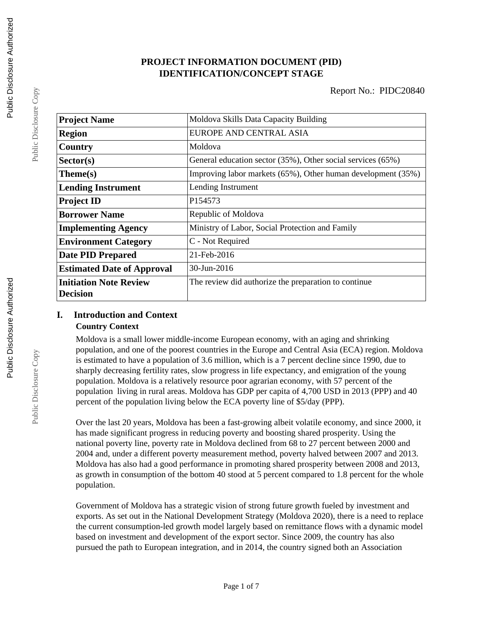# **PROJECT INFORMATION DOCUMENT (PID) IDENTIFICATION/CONCEPT STAGE**

| <b>Project Name</b>               | Moldova Skills Data Capacity Building                        |  |  |
|-----------------------------------|--------------------------------------------------------------|--|--|
| <b>Region</b>                     | EUROPE AND CENTRAL ASIA                                      |  |  |
| Country                           | Moldova                                                      |  |  |
| Sector(s)                         | General education sector (35%), Other social services (65%)  |  |  |
| Theme(s)                          | Improving labor markets (65%), Other human development (35%) |  |  |
| <b>Lending Instrument</b>         | Lending Instrument                                           |  |  |
| <b>Project ID</b>                 | P154573                                                      |  |  |
| <b>Borrower Name</b>              | Republic of Moldova                                          |  |  |
| <b>Implementing Agency</b>        | Ministry of Labor, Social Protection and Family              |  |  |
| <b>Environment Category</b>       | C - Not Required                                             |  |  |
| <b>Date PID Prepared</b>          | 21-Feb-2016                                                  |  |  |
| <b>Estimated Date of Approval</b> | 30-Jun-2016                                                  |  |  |
| <b>Initiation Note Review</b>     | The review did authorize the preparation to continue         |  |  |
| <b>Decision</b>                   |                                                              |  |  |

## **I. Introduction and Context Country Context**

Moldova is a small lower middle-income European economy, with an aging and shrinking population, and one of the poorest countries in the Europe and Central Asia (ECA) region. Moldova is estimated to have a population of 3.6 million, which is a 7 percent decline since 1990, due to sharply decreasing fertility rates, slow progress in life expectancy, and emigration of the young population. Moldova is a relatively resource poor agrarian economy, with 57 percent of the population living in rural areas. Moldova has GDP per capita of 4,700 USD in 2013 (PPP) and 40 percent of the population living below the ECA poverty line of \$5/day (PPP).

Over the last 20 years, Moldova has been a fast-growing albeit volatile economy, and since 2000, it has made significant progress in reducing poverty and boosting shared prosperity. Using the national poverty line, poverty rate in Moldova declined from 68 to 27 percent between 2000 and 2004 and, under a different poverty measurement method, poverty halved between 2007 and 2013. Moldova has also had a good performance in promoting shared prosperity between 2008 and 2013, as growth in consumption of the bottom 40 stood at 5 percent compared to 1.8 percent for the whole population.

Government of Moldova has a strategic vision of strong future growth fueled by investment and exports. As set out in the National Development Strategy (Moldova 2020), there is a need to replace the current consumption-led growth model largely based on remittance flows with a dynamic model based on investment and development of the export sector. Since 2009, the country has also pursued the path to European integration, and in 2014, the country signed both an Association

Public Disclosure Copy

Public Disclosure Copy

Public Disclosure Copy

Public Disclosure Copy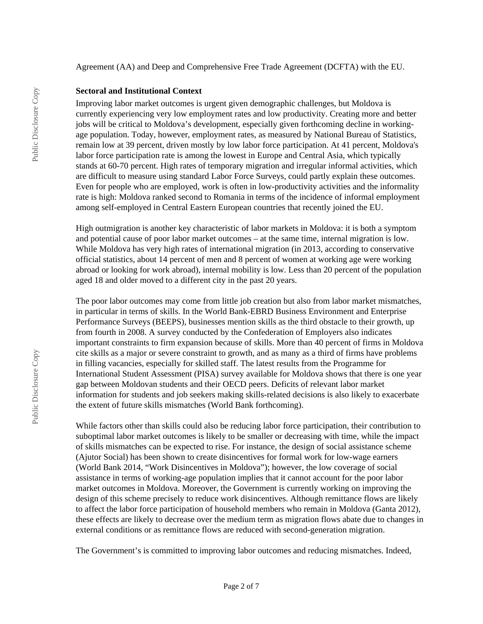Agreement (AA) and Deep and Comprehensive Free Trade Agreement (DCFTA) with the EU.

#### **Sectoral and Institutional Context**

Improving labor market outcomes is urgent given demographic challenges, but Moldova is currently experiencing very low employment rates and low productivity. Creating more and better jobs will be critical to Moldova's development, especially given forthcoming decline in workingage population. Today, however, employment rates, as measured by National Bureau of Statistics, remain low at 39 percent, driven mostly by low labor force participation. At 41 percent, Moldova's labor force participation rate is among the lowest in Europe and Central Asia, which typically stands at 60-70 percent. High rates of temporary migration and irregular informal activities, which are difficult to measure using standard Labor Force Surveys, could partly explain these outcomes. Even for people who are employed, work is often in low-productivity activities and the informality rate is high: Moldova ranked second to Romania in terms of the incidence of informal employment among self-employed in Central Eastern European countries that recently joined the EU.

High outmigration is another key characteristic of labor markets in Moldova: it is both a symptom and potential cause of poor labor market outcomes – at the same time, internal migration is low. While Moldova has very high rates of international migration (in 2013, according to conservative official statistics, about 14 percent of men and 8 percent of women at working age were working abroad or looking for work abroad), internal mobility is low. Less than 20 percent of the population aged 18 and older moved to a different city in the past 20 years.

The poor labor outcomes may come from little job creation but also from labor market mismatches, in particular in terms of skills. In the World Bank-EBRD Business Environment and Enterprise Performance Surveys (BEEPS), businesses mention skills as the third obstacle to their growth, up from fourth in 2008. A survey conducted by the Confederation of Employers also indicates important constraints to firm expansion because of skills. More than 40 percent of firms in Moldova cite skills as a major or severe constraint to growth, and as many as a third of firms have problems in filling vacancies, especially for skilled staff. The latest results from the Programme for International Student Assessment (PISA) survey available for Moldova shows that there is one year gap between Moldovan students and their OECD peers. Deficits of relevant labor market information for students and job seekers making skills-related decisions is also likely to exacerbate the extent of future skills mismatches (World Bank forthcoming).

While factors other than skills could also be reducing labor force participation, their contribution to suboptimal labor market outcomes is likely to be smaller or decreasing with time, while the impact of skills mismatches can be expected to rise. For instance, the design of social assistance scheme (Ajutor Social) has been shown to create disincentives for formal work for low-wage earners (World Bank 2014, "Work Disincentives in Moldova"); however, the low coverage of social assistance in terms of working-age population implies that it cannot account for the poor labor market outcomes in Moldova. Moreover, the Government is currently working on improving the design of this scheme precisely to reduce work disincentives. Although remittance flows are likely to affect the labor force participation of household members who remain in Moldova (Ganta 2012), these effects are likely to decrease over the medium term as migration flows abate due to changes in external conditions or as remittance flows are reduced with second-generation migration.

The Government's is committed to improving labor outcomes and reducing mismatches. Indeed,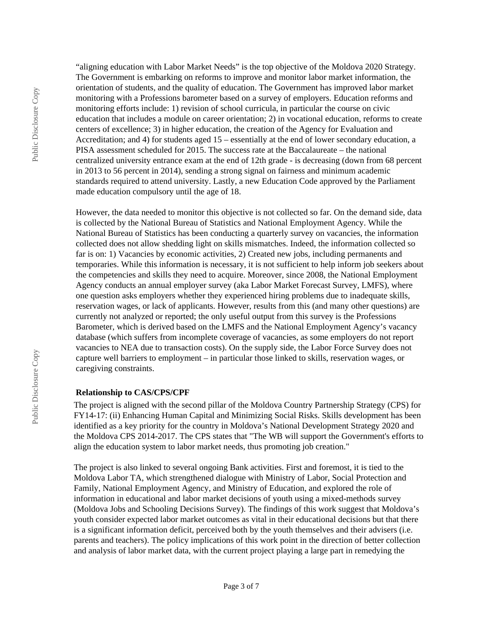"aligning education with Labor Market Needs" is the top objective of the Moldova 2020 Strategy. The Government is embarking on reforms to improve and monitor labor market information, the orientation of students, and the quality of education. The Government has improved labor market monitoring with a Professions barometer based on a survey of employers. Education reforms and monitoring efforts include: 1) revision of school curricula, in particular the course on civic education that includes a module on career orientation; 2) in vocational education, reforms to create centers of excellence; 3) in higher education, the creation of the Agency for Evaluation and Accreditation; and 4) for students aged 15 – essentially at the end of lower secondary education, a PISA assessment scheduled for 2015. The success rate at the Baccalaureate – the national centralized university entrance exam at the end of 12th grade - is decreasing (down from 68 percent in 2013 to 56 percent in 2014), sending a strong signal on fairness and minimum academic standards required to attend university. Lastly, a new Education Code approved by the Parliament made education compulsory until the age of 18.

However, the data needed to monitor this objective is not collected so far. On the demand side, data is collected by the National Bureau of Statistics and National Employment Agency. While the National Bureau of Statistics has been conducting a quarterly survey on vacancies, the information collected does not allow shedding light on skills mismatches. Indeed, the information collected so far is on: 1) Vacancies by economic activities, 2) Created new jobs, including permanents and temporaries. While this information is necessary, it is not sufficient to help inform job seekers about the competencies and skills they need to acquire. Moreover, since 2008, the National Employment Agency conducts an annual employer survey (aka Labor Market Forecast Survey, LMFS), where one question asks employers whether they experienced hiring problems due to inadequate skills, reservation wages, or lack of applicants. However, results from this (and many other questions) are currently not analyzed or reported; the only useful output from this survey is the Professions Barometer, which is derived based on the LMFS and the National Employment Agency's vacancy database (which suffers from incomplete coverage of vacancies, as some employers do not report vacancies to NEA due to transaction costs). On the supply side, the Labor Force Survey does not capture well barriers to employment – in particular those linked to skills, reservation wages, or caregiving constraints.

### **Relationship to CAS/CPS/CPF**

The project is aligned with the second pillar of the Moldova Country Partnership Strategy (CPS) for FY14-17: (ii) Enhancing Human Capital and Minimizing Social Risks. Skills development has been identified as a key priority for the country in Moldova's National Development Strategy 2020 and the Moldova CPS 2014-2017. The CPS states that "The WB will support the Government's efforts to align the education system to labor market needs, thus promoting job creation."

The project is also linked to several ongoing Bank activities. First and foremost, it is tied to the Moldova Labor TA, which strengthened dialogue with Ministry of Labor, Social Protection and Family, National Employment Agency, and Ministry of Education, and explored the role of information in educational and labor market decisions of youth using a mixed-methods survey (Moldova Jobs and Schooling Decisions Survey). The findings of this work suggest that Moldova's youth consider expected labor market outcomes as vital in their educational decisions but that there is a significant information deficit, perceived both by the youth themselves and their advisers (i.e. parents and teachers). The policy implications of this work point in the direction of better collection and analysis of labor market data, with the current project playing a large part in remedying the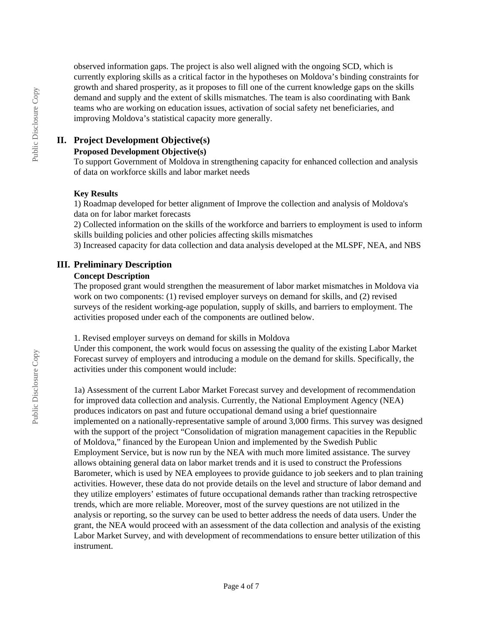observed information gaps. The project is also well aligned with the ongoing SCD, which is currently exploring skills as a critical factor in the hypotheses on Moldova's binding constraints for growth and shared prosperity, as it proposes to fill one of the current knowledge gaps on the skills demand and supply and the extent of skills mismatches. The team is also coordinating with Bank teams who are working on education issues, activation of social safety net beneficiaries, and improving Moldova's statistical capacity more generally.

## **II. Project Development Objective(s)**

# **Proposed Development Objective(s)**

To support Government of Moldova in strengthening capacity for enhanced collection and analysis of data on workforce skills and labor market needs

## **Key Results**

1) Roadmap developed for better alignment of Improve the collection and analysis of Moldova's data on for labor market forecasts

2) Collected information on the skills of the workforce and barriers to employment is used to inform skills building policies and other policies affecting skills mismatches

3) Increased capacity for data collection and data analysis developed at the MLSPF, NEA, and NBS

## **III. Preliminary Description**

### **Concept Description**

The proposed grant would strengthen the measurement of labor market mismatches in Moldova via work on two components: (1) revised employer surveys on demand for skills, and (2) revised surveys of the resident working-age population, supply of skills, and barriers to employment. The activities proposed under each of the components are outlined below.

1. Revised employer surveys on demand for skills in Moldova

Under this component, the work would focus on assessing the quality of the existing Labor Market Forecast survey of employers and introducing a module on the demand for skills. Specifically, the activities under this component would include:

1a) Assessment of the current Labor Market Forecast survey and development of recommendation for improved data collection and analysis. Currently, the National Employment Agency (NEA) produces indicators on past and future occupational demand using a brief questionnaire implemented on a nationally-representative sample of around 3,000 firms. This survey was designed with the support of the project "Consolidation of migration management capacities in the Republic of Moldova," financed by the European Union and implemented by the Swedish Public Employment Service, but is now run by the NEA with much more limited assistance. The survey allows obtaining general data on labor market trends and it is used to construct the Professions Barometer, which is used by NEA employees to provide guidance to job seekers and to plan training activities. However, these data do not provide details on the level and structure of labor demand and they utilize employers' estimates of future occupational demands rather than tracking retrospective trends, which are more reliable. Moreover, most of the survey questions are not utilized in the analysis or reporting, so the survey can be used to better address the needs of data users. Under the grant, the NEA would proceed with an assessment of the data collection and analysis of the existing Labor Market Survey, and with development of recommendations to ensure better utilization of this instrument.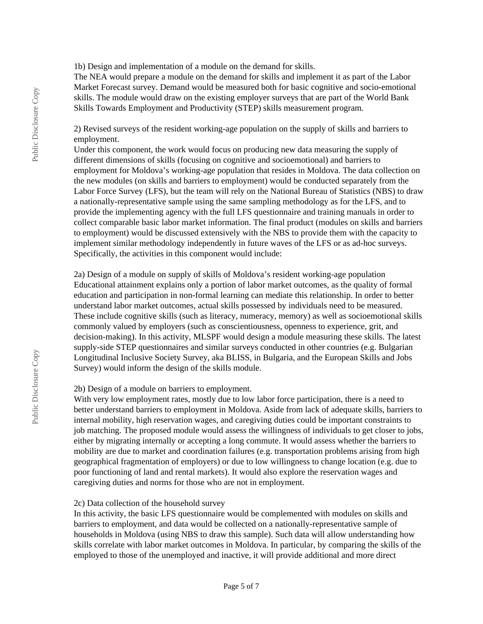1b) Design and implementation of a module on the demand for skills.

The NEA would prepare a module on the demand for skills and implement it as part of the Labor Market Forecast survey. Demand would be measured both for basic cognitive and socio-emotional skills. The module would draw on the existing employer surveys that are part of the World Bank Skills Towards Employment and Productivity (STEP) skills measurement program.

2) Revised surveys of the resident working-age population on the supply of skills and barriers to employment.

Under this component, the work would focus on producing new data measuring the supply of different dimensions of skills (focusing on cognitive and socioemotional) and barriers to employment for Moldova's working-age population that resides in Moldova. The data collection on the new modules (on skills and barriers to employment) would be conducted separately from the Labor Force Survey (LFS), but the team will rely on the National Bureau of Statistics (NBS) to draw a nationally-representative sample using the same sampling methodology as for the LFS, and to provide the implementing agency with the full LFS questionnaire and training manuals in order to collect comparable basic labor market information. The final product (modules on skills and barriers to employment) would be discussed extensively with the NBS to provide them with the capacity to implement similar methodology independently in future waves of the LFS or as ad-hoc surveys. Specifically, the activities in this component would include:

2a) Design of a module on supply of skills of Moldova's resident working-age population Educational attainment explains only a portion of labor market outcomes, as the quality of formal education and participation in non-formal learning can mediate this relationship. In order to better understand labor market outcomes, actual skills possessed by individuals need to be measured. These include cognitive skills (such as literacy, numeracy, memory) as well as socioemotional skills commonly valued by employers (such as conscientiousness, openness to experience, grit, and decision-making). In this activity, MLSPF would design a module measuring these skills. The latest supply-side STEP questionnaires and similar surveys conducted in other countries (e.g. Bulgarian Longitudinal Inclusive Society Survey, aka BLISS, in Bulgaria, and the European Skills and Jobs Survey) would inform the design of the skills module.

#### 2b) Design of a module on barriers to employment.

With very low employment rates, mostly due to low labor force participation, there is a need to better understand barriers to employment in Moldova. Aside from lack of adequate skills, barriers to internal mobility, high reservation wages, and caregiving duties could be important constraints to job matching. The proposed module would assess the willingness of individuals to get closer to jobs, either by migrating internally or accepting a long commute. It would assess whether the barriers to mobility are due to market and coordination failures (e.g. transportation problems arising from high geographical fragmentation of employers) or due to low willingness to change location (e.g. due to poor functioning of land and rental markets). It would also explore the reservation wages and caregiving duties and norms for those who are not in employment.

#### 2c) Data collection of the household survey

In this activity, the basic LFS questionnaire would be complemented with modules on skills and barriers to employment, and data would be collected on a nationally-representative sample of households in Moldova (using NBS to draw this sample). Such data will allow understanding how skills correlate with labor market outcomes in Moldova. In particular, by comparing the skills of the employed to those of the unemployed and inactive, it will provide additional and more direct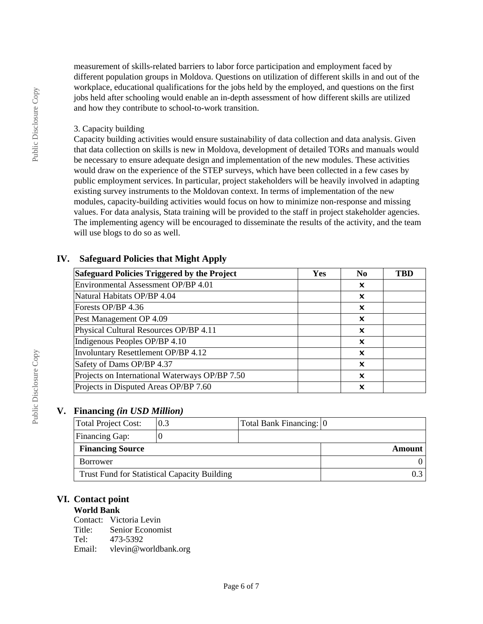measurement of skills-related barriers to labor force participation and employment faced by different population groups in Moldova. Questions on utilization of different skills in and out of the workplace, educational qualifications for the jobs held by the employed, and questions on the first jobs held after schooling would enable an in-depth assessment of how different skills are utilized and how they contribute to school-to-work transition.

### 3. Capacity building

Capacity building activities would ensure sustainability of data collection and data analysis. Given that data collection on skills is new in Moldova, development of detailed TORs and manuals would be necessary to ensure adequate design and implementation of the new modules. These activities would draw on the experience of the STEP surveys, which have been collected in a few cases by public employment services. In particular, project stakeholders will be heavily involved in adapting existing survey instruments to the Moldovan context. In terms of implementation of the new modules, capacity-building activities would focus on how to minimize non-response and missing values. For data analysis, Stata training will be provided to the staff in project stakeholder agencies. The implementing agency will be encouraged to disseminate the results of the activity, and the team will use blogs to do so as well.

## **IV. Safeguard Policies that Might Apply**

| <b>Safeguard Policies Triggered by the Project</b> | <b>Yes</b> | N <sub>0</sub> | TBD |
|----------------------------------------------------|------------|----------------|-----|
| Environmental Assessment OP/BP 4.01                |            | ×              |     |
| Natural Habitats OP/BP 4.04                        |            | x              |     |
| Forests OP/BP 4.36                                 |            | x              |     |
| Pest Management OP 4.09                            |            | x              |     |
| Physical Cultural Resources OP/BP 4.11             |            | x              |     |
| Indigenous Peoples OP/BP 4.10                      |            | ×              |     |
| Involuntary Resettlement OP/BP 4.12                |            | ×              |     |
| Safety of Dams OP/BP 4.37                          |            | ×              |     |
| Projects on International Waterways OP/BP 7.50     |            | ×              |     |
| Projects in Disputed Areas OP/BP 7.60              |            | ×              |     |

## **V. Financing** *(in USD Million)*

| Total Project Cost:                                 | 0.3 | Total Bank Financing: 0 |  |
|-----------------------------------------------------|-----|-------------------------|--|
| Financing Gap:                                      |     |                         |  |
| <b>Financing Source</b>                             |     | Amount                  |  |
| Borrower                                            |     |                         |  |
| <b>Trust Fund for Statistical Capacity Building</b> |     |                         |  |

## **VI. Contact point**

## **World Bank**

Contact: Victoria Levin<br>Title: Senior Econom Senior Economist Tel: 473-5392 Email: vlevin@worldbank.org